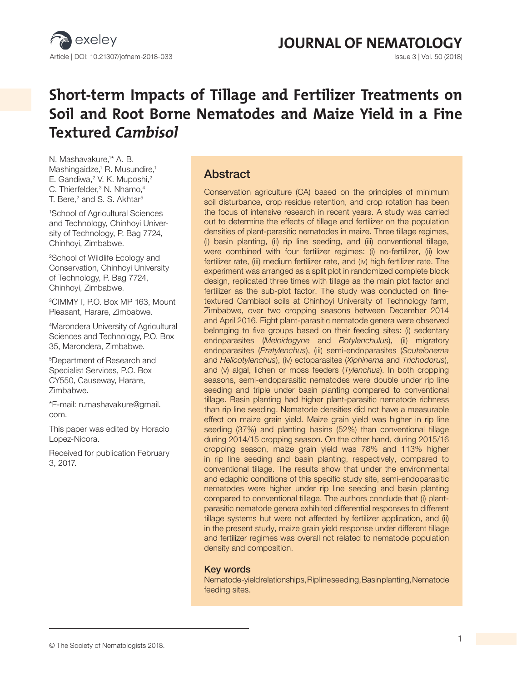

**JOURNAL OF NEMATOLOGY** 

# **Short-term Impacts of Tillage and Fertilizer Treatments on Soil and Root Borne Nematodes and Maize Yield in a Fine Textured Cambisol**

N. Mashavakure,<sup>1\*</sup> A. B. Mashingaidze,<sup>1</sup> R. Musundire,<sup>1</sup> E. Gandiwa,<sup>2</sup> V. K. Muposhi,<sup>2</sup> C. Thierfelder,<sup>3</sup> N. Nhamo,<sup>4</sup> T. Bere, $^2$  and S. S. Akhtar $^5$ 

1 School of Agricultural Sciences and Technology, Chinhoyi University of Technology, P. Bag 7724, Chinhoyi, Zimbabwe.

2 School of Wildlife Ecology and Conservation, Chinhoyi University of Technology, P. Bag 7724, Chinhoyi, Zimbabwe.

3CIMMYT, P.O. Box MP 163, Mount Pleasant, Harare, Zimbabwe.

4 Marondera University of Agricultural Sciences and Technology, P.O. Box 35, Marondera, Zimbabwe.

5 Department of Research and Specialist Services, P.O. Box CY550, Causeway, Harare, Zimbabwe.

\*E-mail: n.mashavakure@gmail. com.

This paper was edited by Horacio Lopez-Nicora.

Received for publication February 3, 2017.

### Abstract

Conservation agriculture (CA) based on the principles of minimum soil disturbance, crop residue retention, and crop rotation has been the focus of intensive research in recent years. A study was carried out to determine the effects of tillage and fertilizer on the population densities of plant-parasitic nematodes in maize. Three tillage regimes, (i) basin planting, (ii) rip line seeding, and (iii) conventional tillage, were combined with four fertilizer regimes: (i) no-fertilizer, (ii) low fertilizer rate, (iii) medium fertilizer rate, and (iv) high fertilizer rate. The experiment was arranged as a split plot in randomized complete block design, replicated three times with tillage as the main plot factor and fertilizer as the sub-plot factor. The study was conducted on finetextured Cambisol soils at Chinhoyi University of Technology farm, Zimbabwe, over two cropping seasons between December 2014 and April 2016. Eight plant-parasitic nematode genera were observed belonging to five groups based on their feeding sites: (i) sedentary endoparasites (*Meloidogyne* and *Rotylenchulus*), (ii) migratory endoparasites (*Pratylenchus*), (iii) semi-endoparasites (*Scutelonema* and *Helicotylenchus*), (iv) ectoparasites (*Xiphinema* and *Trichodorus*), and (v) algal, lichen or moss feeders (*Tylenchus*). In both cropping seasons, semi-endoparasitic nematodes were double under rip line seeding and triple under basin planting compared to conventional tillage. Basin planting had higher plant-parasitic nematode richness than rip line seeding. Nematode densities did not have a measurable effect on maize grain yield. Maize grain yield was higher in rip line seeding (37%) and planting basins (52%) than conventional tillage during 2014/15 cropping season. On the other hand, during 2015/16 cropping season, maize grain yield was 78% and 113% higher in rip line seeding and basin planting, respectively, compared to conventional tillage. The results show that under the environmental and edaphic conditions of this specific study site, semi-endoparasitic nematodes were higher under rip line seeding and basin planting compared to conventional tillage. The authors conclude that (i) plantparasitic nematode genera exhibited differential responses to different tillage systems but were not affected by fertilizer application, and (ii) in the present study, maize grain yield response under different tillage and fertilizer regimes was overall not related to nematode population density and composition.

#### Key words

Nematode-yield relationships, Rip line seeding, Basin planting, Nematode feeding sites.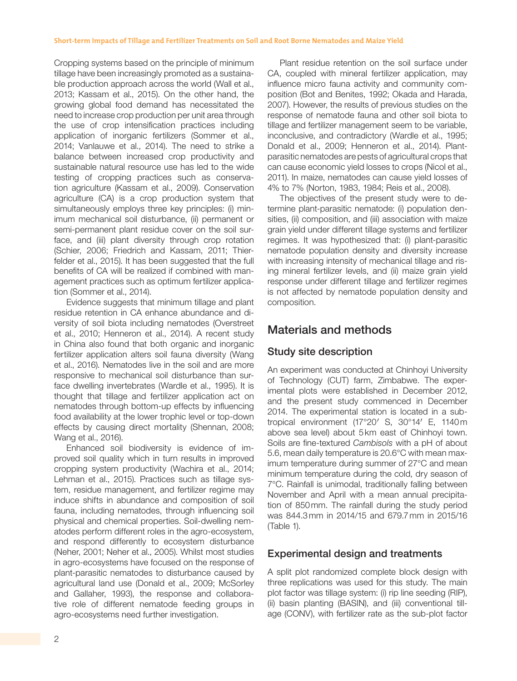Cropping systems based on the principle of minimum tillage have been increasingly promoted as a sustainable production approach across the world (Wall et al., 2013; Kassam et al., 2015). On the other hand, the growing global food demand has necessitated the need to increase crop production per unit area through the use of crop intensification practices including application of inorganic fertilizers (Sommer et al., 2014; Vanlauwe et al., 2014). The need to strike a balance between increased crop productivity and sustainable natural resource use has led to the wide testing of cropping practices such as conservation agriculture (Kassam et al., 2009). Conservation agriculture (CA) is a crop production system that simultaneously employs three key principles: (i) minimum mechanical soil disturbance, (ii) permanent or semi-permanent plant residue cover on the soil surface, and (iii) plant diversity through crop rotation (Schier, 2006; Friedrich and Kassam, 2011; Thierfelder et al., 2015). It has been suggested that the full benefits of CA will be realized if combined with management practices such as optimum fertilizer application (Sommer et al., 2014).

Evidence suggests that minimum tillage and plant residue retention in CA enhance abundance and diversity of soil biota including nematodes (Overstreet et al., 2010; Henneron et al., 2014). A recent study in China also found that both organic and inorganic fertilizer application alters soil fauna diversity (Wang et al., 2016). Nematodes live in the soil and are more responsive to mechanical soil disturbance than surface dwelling invertebrates (Wardle et al., 1995). It is thought that tillage and fertilizer application act on nematodes through bottom-up effects by influencing food availability at the lower trophic level or top-down effects by causing direct mortality (Shennan, 2008; Wang et al., 2016).

Enhanced soil biodiversity is evidence of improved soil quality which in turn results in improved cropping system productivity (Wachira et al., 2014; Lehman et al., 2015). Practices such as tillage system, residue management, and fertilizer regime may induce shifts in abundance and composition of soil fauna, including nematodes, through influencing soil physical and chemical properties. Soil-dwelling nematodes perform different roles in the agro-ecosystem, and respond differently to ecosystem disturbance (Neher, 2001; Neher et al., 2005). Whilst most studies in agro-ecosystems have focused on the response of plant-parasitic nematodes to disturbance caused by agricultural land use (Donald et al., 2009; McSorley and Gallaher, 1993), the response and collaborative role of different nematode feeding groups in agro-ecosystems need further investigation.

Plant residue retention on the soil surface under CA, coupled with mineral fertilizer application, may influence micro fauna activity and community composition (Bot and Benites, 1992; Okada and Harada, 2007). However, the results of previous studies on the response of nematode fauna and other soil biota to tillage and fertilizer management seem to be variable, inconclusive, and contradictory (Wardle et al., 1995; Donald et al., 2009; Henneron et al., 2014). Plantparasitic nematodes are pests of agricultural crops that can cause economic yield losses to crops (Nicol et al., 2011). In maize, nematodes can cause yield losses of 4% to 7% (Norton, 1983, 1984; Reis et al., 2008).

The objectives of the present study were to determine plant-parasitic nematode: (i) population densities, (ii) composition, and (iii) association with maize grain yield under different tillage systems and fertilizer regimes. It was hypothesized that: (i) plant-parasitic nematode population density and diversity increase with increasing intensity of mechanical tillage and rising mineral fertilizer levels, and (ii) maize grain yield response under different tillage and fertilizer regimes is not affected by nematode population density and composition.

## Materials and methods

### Study site description

An experiment was conducted at Chinhoyi University of Technology (CUT) farm, Zimbabwe. The experimental plots were established in December 2012, and the present study commenced in December 2014. The experimental station is located in a subtropical environment (17 $^{\circ}20'$  S, 30 $^{\circ}14'$  E, 1140m above sea level) about 5km east of Chinhoyi town. Soils are fine-textured *Cambisols* with a pH of about 5.6, mean daily temperature is 20.6°C with mean maximum temperature during summer of 27°C and mean minimum temperature during the cold, dry season of 7°C. Rainfall is unimodal, traditionally falling between November and April with a mean annual precipitation of 850mm. The rainfall during the study period was 844.3mm in 2014/15 and 679.7mm in 2015/16 (Table 1).

#### Experimental design and treatments

A split plot randomized complete block design with three replications was used for this study. The main plot factor was tillage system: (i) rip line seeding (RIP), (ii) basin planting (BASIN), and (iii) conventional tillage (CONV), with fertilizer rate as the sub-plot factor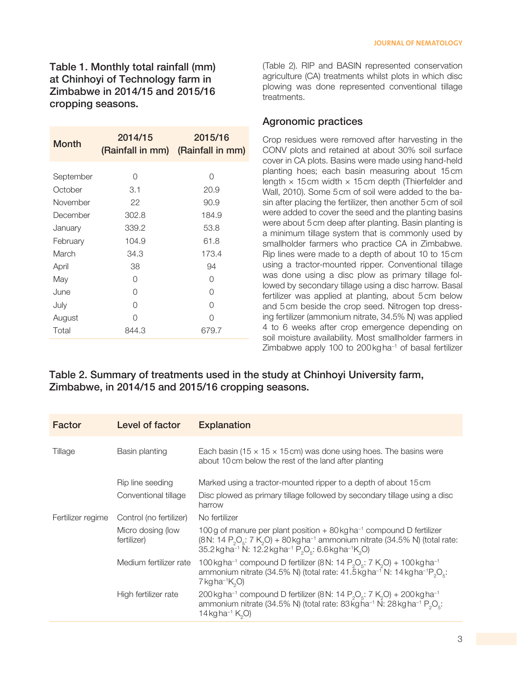| <b>Month</b> | 2014/15 | 2015/16<br>(Rainfall in mm) (Rainfall in mm) |
|--------------|---------|----------------------------------------------|
| September    | Ω       | ∩                                            |
| October      | 3.1     | 20.9                                         |
| November     | 22      | 90.9                                         |
| December     | 302.8   | 184.9                                        |
| January      | 339.2   | 53.8                                         |
| February     | 104.9   | 61.8                                         |
| March        | 34.3    | 173.4                                        |
| April        | 38      | 94                                           |
| May          | Ω       | Ω                                            |
| June         | ∩       | Ω                                            |
| July         | Ω       | 0                                            |
| August       | Ω       | ∩                                            |
| Total        | 844.3   | 679.7                                        |

(Table 2). RIP and BASIN represented conservation agriculture (CA) treatments whilst plots in which disc plowing was done represented conventional tillage treatments.

#### Agronomic practices

Crop residues were removed after harvesting in the CONV plots and retained at about 30% soil surface cover in CA plots. Basins were made using hand-held planting hoes; each basin measuring about 15cm length  $\times$  15 cm width  $\times$  15 cm depth (Thierfelder and Wall, 2010). Some 5cm of soil were added to the basin after placing the fertilizer, then another 5cm of soil were added to cover the seed and the planting basins were about 5cm deep after planting. Basin planting is a minimum tillage system that is commonly used by smallholder farmers who practice CA in Zimbabwe. Rip lines were made to a depth of about 10 to 15cm using a tractor-mounted ripper. Conventional tillage was done using a disc plow as primary tillage followed by secondary tillage using a disc harrow. Basal fertilizer was applied at planting, about 5cm below and 5cm beside the crop seed. Nitrogen top dressing fertilizer (ammonium nitrate, 34.5% N) was applied 4 to 6 weeks after crop emergence depending on soil moisture availability. Most smallholder farmers in Zimbabwe apply 100 to 200kgha−1 of basal fertilizer

#### Table 2. Summary of treatments used in the study at Chinhoyi University farm, Zimbabwe, in 2014/15 and 2015/16 cropping seasons.

| Factor            | Level of factor                  | <b>Explanation</b>                                                                                                                                                                                                                                                                                                                                   |
|-------------------|----------------------------------|------------------------------------------------------------------------------------------------------------------------------------------------------------------------------------------------------------------------------------------------------------------------------------------------------------------------------------------------------|
| Tillage           | Basin planting                   | Each basin (15 $\times$ 15 $\times$ 15 cm) was done using hoes. The basins were<br>about 10 cm below the rest of the land after planting                                                                                                                                                                                                             |
|                   | Rip line seeding                 | Marked using a tractor-mounted ripper to a depth of about 15 cm                                                                                                                                                                                                                                                                                      |
|                   | Conventional tillage             | Disc plowed as primary tillage followed by secondary tillage using a disc<br>harrow                                                                                                                                                                                                                                                                  |
| Fertilizer regime | Control (no fertilizer)          | No fertilizer                                                                                                                                                                                                                                                                                                                                        |
|                   | Micro dosing (low<br>fertilizer) | 100 g of manure per plant position $+80$ kg ha <sup>-1</sup> compound D fertilizer<br>(8N: 14 P <sub>2</sub> O <sub>5</sub> : 7 K <sub>2</sub> O) + 80 kg ha <sup>-1</sup> ammonium nitrate (34.5% N) (total rate:<br>35.2 kg ha <sup>-1</sup> N: 12.2 kg ha <sup>-1</sup> P <sub>2</sub> O <sub>5</sub> : 6.6 kg ha <sup>-1</sup> K <sub>2</sub> O) |
|                   | Medium fertilizer rate           | 100 kg ha <sup>-1</sup> compound D fertilizer (8 N: 14 P <sub>2</sub> O <sub>5</sub> : 7 K <sub>2</sub> O) + 100 kg ha <sup>-1</sup><br>ammonium nitrate (34.5% N) (total rate: 41.5 $kg$ ha <sup>-1</sup> N: 14 $kg$ ha <sup>-1</sup> $PsOs$ :<br>7 kg ha <sup>-1</sup> $K_2$ O)                                                                    |
|                   | High fertilizer rate             | 200 kg ha <sup>-1</sup> compound D fertilizer (8 N: 14 P <sub>2</sub> O <sub>5</sub> : 7 K <sub>2</sub> O) + 200 kg ha <sup>-1</sup><br>ammonium nitrate (34.5% N) (total rate: 83 $\overline{k}$ gha <sup>-1</sup> N: 28 $\overline{k}$ gha <sup>-1</sup> P <sub>2</sub> O <sub>5</sub> :<br>14 kg ha <sup>-1</sup> K <sub>2</sub> O)               |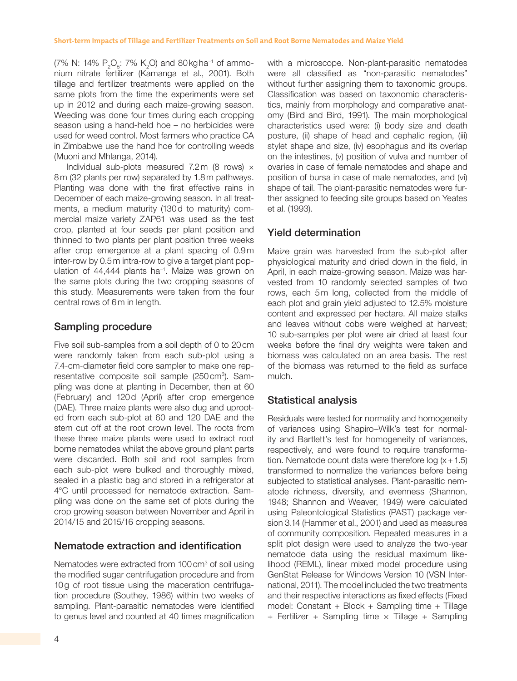(7% N: 14%  $P_2O_5$ : 7% K<sub>2</sub>O) and 80 kg ha<sup>-1</sup> of ammonium nitrate fertilizer (Kamanga et al., 2001). Both tillage and fertilizer treatments were applied on the same plots from the time the experiments were set up in 2012 and during each maize-growing season. Weeding was done four times during each cropping season using a hand-held hoe – no herbicides were used for weed control. Most farmers who practice CA in Zimbabwe use the hand hoe for controlling weeds (Muoni and Mhlanga, 2014).

Individual sub-plots measured 7.2m (8 rows)  $\times$ 8m (32 plants per row) separated by 1.8m pathways. Planting was done with the first effective rains in December of each maize-growing season. In all treatments, a medium maturity (130d to maturity) commercial maize variety ZAP61 was used as the test crop, planted at four seeds per plant position and thinned to two plants per plant position three weeks after crop emergence at a plant spacing of 0.9m inter-row by 0.5m intra-row to give a target plant population of 44,444 plants ha<sup>-1</sup>. Maize was grown on the same plots during the two cropping seasons of this study. Measurements were taken from the four central rows of 6m in length.

#### Sampling procedure

Five soil sub-samples from a soil depth of 0 to 20cm were randomly taken from each sub-plot using a 7.4-cm-diameter field core sampler to make one representative composite soil sample (250 cm<sup>3</sup>). Sampling was done at planting in December, then at 60 (February) and 120d (April) after crop emergence (DAE). Three maize plants were also dug and uprooted from each sub-plot at 60 and 120 DAE and the stem cut off at the root crown level. The roots from these three maize plants were used to extract root borne nematodes whilst the above ground plant parts were discarded. Both soil and root samples from each sub-plot were bulked and thoroughly mixed, sealed in a plastic bag and stored in a refrigerator at 4°C until processed for nematode extraction. Sampling was done on the same set of plots during the crop growing season between November and April in 2014/15 and 2015/16 cropping seasons.

#### Nematode extraction and identification

Nematodes were extracted from 100 cm<sup>3</sup> of soil using the modified sugar centrifugation procedure and from 10g of root tissue using the maceration centrifugation procedure (Southey, 1986) within two weeks of sampling. Plant-parasitic nematodes were identified to genus level and counted at 40 times magnification

with a microscope. Non-plant-parasitic nematodes were all classified as "non-parasitic nematodes" without further assigning them to taxonomic groups. Classification was based on taxonomic characteristics, mainly from morphology and comparative anatomy (Bird and Bird, 1991). The main morphological characteristics used were: (i) body size and death posture, (ii) shape of head and cephalic region, (iii) stylet shape and size, (iv) esophagus and its overlap on the intestines, (v) position of vulva and number of ovaries in case of female nematodes and shape and position of bursa in case of male nematodes, and (vi) shape of tail. The plant-parasitic nematodes were further assigned to feeding site groups based on Yeates et al. (1993).

### Yield determination

Maize grain was harvested from the sub-plot after physiological maturity and dried down in the field, in April, in each maize-growing season. Maize was harvested from 10 randomly selected samples of two rows, each 5m long, collected from the middle of each plot and grain yield adjusted to 12.5% moisture content and expressed per hectare. All maize stalks and leaves without cobs were weighed at harvest; 10 sub-samples per plot were air dried at least four weeks before the final dry weights were taken and biomass was calculated on an area basis. The rest of the biomass was returned to the field as surface mulch.

### Statistical analysis

Residuals were tested for normality and homogeneity of variances using Shapiro–Wilk's test for normality and Bartlett's test for homogeneity of variances, respectively, and were found to require transformation. Nematode count data were therefore log  $(x + 1.5)$ transformed to normalize the variances before being subjected to statistical analyses. Plant-parasitic nematode richness, diversity, and evenness (Shannon, 1948; Shannon and Weaver, 1949) were calculated using Paleontological Statistics (PAST) package version 3.14 (Hammer et al., 2001) and used as measures of community composition. Repeated measures in a split plot design were used to analyze the two-year nematode data using the residual maximum likelihood (REML), linear mixed model procedure using GenStat Release for Windows Version 10 (VSN International, 2011). The model included the two treatments and their respective interactions as fixed effects (Fixed model: Constant + Block + Sampling time + Tillage + Fertilizer + Sampling time  $\times$  Tillage + Sampling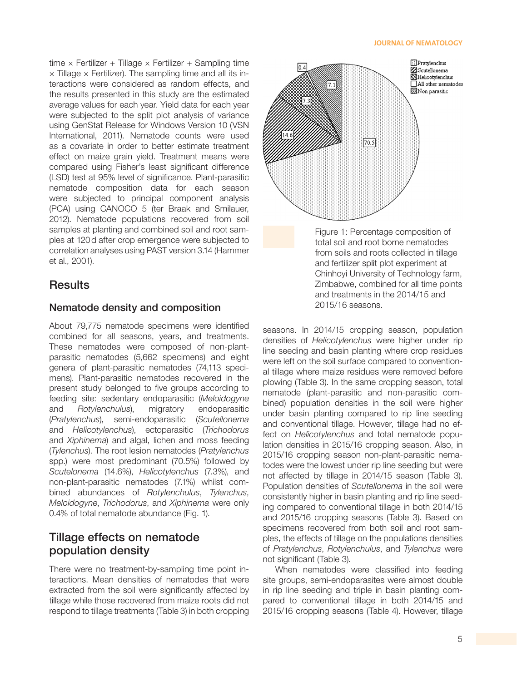#### **JOURNAL OF NEMATOLOGY**

time  $\times$  Fertilizer + Tillage  $\times$  Fertilizer + Sampling time  $\times$  Tillage  $\times$  Fertilizer). The sampling time and all its interactions were considered as random effects, and the results presented in this study are the estimated average values for each year. Yield data for each year were subjected to the split plot analysis of variance using GenStat Release for Windows Version 10 (VSN International, 2011). Nematode counts were used as a covariate in order to better estimate treatment effect on maize grain yield. Treatment means were compared using Fisher's least significant difference (LSD) test at 95% level of significance. Plant-parasitic nematode composition data for each season were subjected to principal component analysis (PCA) using CANOCO 5 (ter Braak and Smilauer, 2012). Nematode populations recovered from soil samples at planting and combined soil and root samples at 120d after crop emergence were subjected to correlation analyses using PAST version 3.14 (Hammer et al., 2001).

#### **Results**

#### Nematode density and composition

About 79,775 nematode specimens were identified combined for all seasons, years, and treatments. These nematodes were composed of non-plantparasitic nematodes (5,662 specimens) and eight genera of plant-parasitic nematodes (74,113 specimens). Plant-parasitic nematodes recovered in the present study belonged to five groups according to feeding site: sedentary endoparasitic (*Meloidogyne* and *Rotylenchulus*), migratory endoparasitic (*Pratylenchus*), semi-endoparasitic (*Scutellonema* and *Helicotylenchus*), ectoparasitic (*Trichodorus* and *Xiphinema*) and algal, lichen and moss feeding (*Tylenchus*). The root lesion nematodes (*Pratylenchus* spp.) were most predominant (70.5%) followed by *Scutelonema* (14.6%), *Helicotylenchus* (7.3%), and non-plant-parasitic nematodes (7.1%) whilst combined abundances of *Rotylenchulus*, *Tylenchus*, *Meloidogyne*, *Trichodorus*, and *Xiphinema* were only 0.4% of total nematode abundance (Fig. 1).

### Tillage effects on nematode population density

There were no treatment-by-sampling time point interactions. Mean densities of nematodes that were extracted from the soil were significantly affected by tillage while those recovered from maize roots did not respond to tillage treatments (Table 3) in both cropping



Figure 1: Percentage composition of total soil and root borne nematodes from soils and roots collected in tillage and fertilizer split plot experiment at Chinhoyi University of Technology farm, Zimbabwe, combined for all time points and treatments in the 2014/15 and 2015/16 seasons.

seasons. In 2014/15 cropping season, population densities of *Helicotylenchus* were higher under rip line seeding and basin planting where crop residues were left on the soil surface compared to conventional tillage where maize residues were removed before plowing (Table 3). In the same cropping season, total nematode (plant-parasitic and non-parasitic combined) population densities in the soil were higher under basin planting compared to rip line seeding and conventional tillage. However, tillage had no effect on *Helicotylenchus* and total nematode population densities in 2015/16 cropping season. Also, in 2015/16 cropping season non-plant-parasitic nematodes were the lowest under rip line seeding but were not affected by tillage in 2014/15 season (Table 3). Population densities of *Scutellonema* in the soil were consistently higher in basin planting and rip line seeding compared to conventional tillage in both 2014/15 and 2015/16 cropping seasons (Table 3). Based on specimens recovered from both soil and root samples, the effects of tillage on the populations densities of *Pratylenchus*, *Rotylenchulus*, and *Tylenchus* were not significant (Table 3).

When nematodes were classified into feeding site groups, semi-endoparasites were almost double in rip line seeding and triple in basin planting compared to conventional tillage in both 2014/15 and 2015/16 cropping seasons (Table 4). However, tillage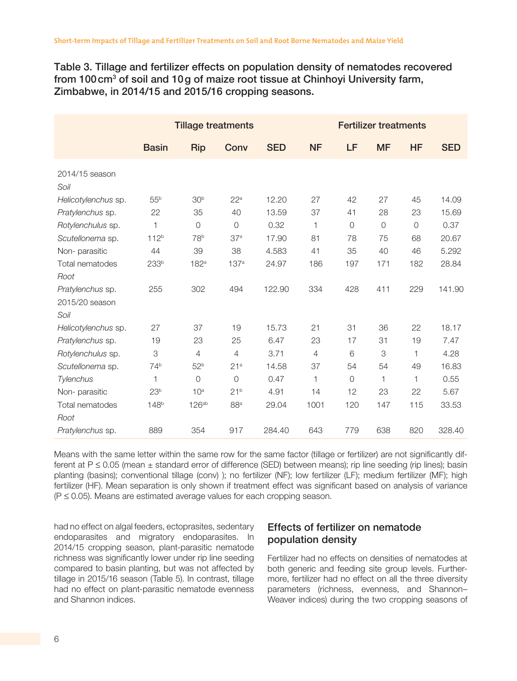Table 3. Tillage and fertilizer effects on population density of nematodes recovered from 100 cm<sup>3</sup> of soil and 10g of maize root tissue at Chinhoyi University farm, Zimbabwe, in 2014/15 and 2015/16 cropping seasons.

|                        | <b>Tillage treatments</b> |                   |                  |            | <b>Fertilizer treatments</b> |             |                |                |            |
|------------------------|---------------------------|-------------------|------------------|------------|------------------------------|-------------|----------------|----------------|------------|
|                        | <b>Basin</b>              | <b>Rip</b>        | Conv             | <b>SED</b> | <b>NF</b>                    | LF          | <b>MF</b>      | <b>HF</b>      | <b>SED</b> |
| 2014/15 season<br>Soil |                           |                   |                  |            |                              |             |                |                |            |
| Helicotylenchus sp.    | 55 <sup>b</sup>           | 30 <sup>b</sup>   | 22 <sup>a</sup>  | 12.20      | 27                           | 42          | 27             | 45             | 14.09      |
| Pratylenchus sp.       | 22                        | 35                | 40               | 13.59      | 37                           | 41          | 28             | 23             | 15.69      |
| Rotylenchulus sp.      | $\mathbf{1}$              | $\overline{O}$    | $\overline{0}$   | 0.32       | $\mathbf{1}$                 | $\circ$     | $\overline{O}$ | $\overline{O}$ | 0.37       |
| Scutellonema sp.       | 112 <sup>b</sup>          | 78 <sup>b</sup>   | 37 <sup>a</sup>  | 17.90      | 81                           | 78          | 75             | 68             | 20.67      |
| Non-parasitic          | 44                        | 39                | 38               | 4.583      | 41                           | 35          | 40             | 46             | 5.292      |
| Total nematodes        | 233b                      | 182 <sup>a</sup>  | 137 <sup>a</sup> | 24.97      | 186                          | 197         | 171            | 182            | 28.84      |
| Root                   |                           |                   |                  |            |                              |             |                |                |            |
| Pratylenchus sp.       | 255                       | 302               | 494              | 122.90     | 334                          | 428         | 411            | 229            | 141.90     |
| 2015/20 season         |                           |                   |                  |            |                              |             |                |                |            |
| Soil                   |                           |                   |                  |            |                              |             |                |                |            |
| Helicotylenchus sp.    | 27                        | 37                | 19               | 15.73      | 21                           | 31          | 36             | 22             | 18.17      |
| Pratylenchus sp.       | 19                        | 23                | 25               | 6.47       | 23                           | 17          | 31             | 19             | 7.47       |
| Rotylenchulus sp.      | 3                         | $\overline{4}$    | $\overline{4}$   | 3.71       | $\overline{4}$               | 6           | 3              | 1              | 4.28       |
| Scutellonema sp.       | 74 <sup>b</sup>           | 52 <sup>b</sup>   | 21 <sup>a</sup>  | 14.58      | 37                           | 54          | 54             | 49             | 16.83      |
| Tylenchus              | 1                         | $\mathbf 0$       | $\Omega$         | 0.47       | 1                            | $\mathsf O$ | 1              | 1              | 0.55       |
| Non-parasitic          | 23 <sup>b</sup>           | 10 <sup>a</sup>   | 21 <sup>b</sup>  | 4.91       | 14                           | 12          | 23             | 22             | 5.67       |
| Total nematodes        | 148 <sup>b</sup>          | 126 <sup>ab</sup> | 88 <sup>a</sup>  | 29.04      | 1001                         | 120         | 147            | 115            | 33.53      |
| Root                   |                           |                   |                  |            |                              |             |                |                |            |
| Pratylenchus sp.       | 889                       | 354               | 917              | 284.40     | 643                          | 779         | 638            | 820            | 328.40     |

Means with the same letter within the same row for the same factor (tillage or fertilizer) are not significantly different at P  $\leq$  0.05 (mean  $\pm$  standard error of difference (SED) between means); rip line seeding (rip lines); basin planting (basins); conventional tillage (conv) ); no fertilizer (NF); low fertilizer (LF); medium fertilizer (MF); high fertilizer (HF). Mean separation is only shown if treatment effect was significant based on analysis of variance (P ≤ 0.05). Means are estimated average values for each cropping season.

had no effect on algal feeders, ectoprasites, sedentary endoparasites and migratory endoparasites. In 2014/15 cropping season, plant-parasitic nematode richness was significantly lower under rip line seeding compared to basin planting, but was not affected by tillage in 2015/16 season (Table 5). In contrast, tillage had no effect on plant-parasitic nematode evenness and Shannon indices.

### Effects of fertilizer on nematode population density

Fertilizer had no effects on densities of nematodes at both generic and feeding site group levels. Furthermore, fertilizer had no effect on all the three diversity parameters (richness, evenness, and Shannon– Weaver indices) during the two cropping seasons of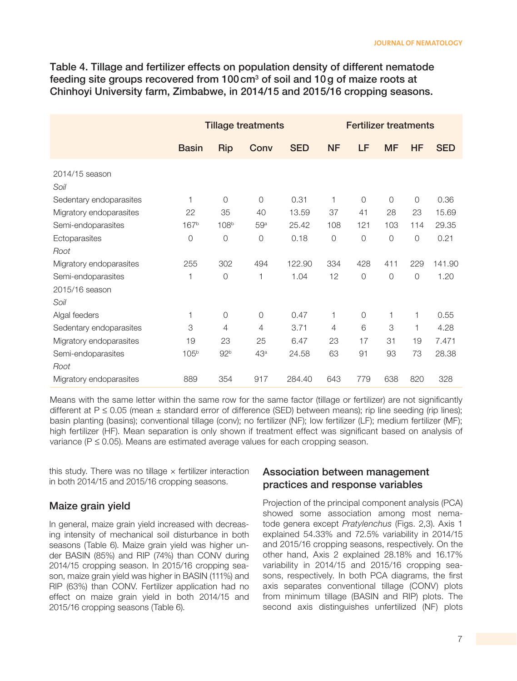Table 4. Tillage and fertilizer effects on population density of different nematode feeding site groups recovered from 100 cm $^{\rm 3}$  of soil and 10 g of maize roots at Chinhoyi University farm, Zimbabwe, in 2014/15 and 2015/16 cropping seasons.

|                         | <b>Tillage treatments</b> |                  |                 |            | <b>Fertilizer treatments</b> |                |                |           |            |
|-------------------------|---------------------------|------------------|-----------------|------------|------------------------------|----------------|----------------|-----------|------------|
|                         | <b>Basin</b>              | <b>Rip</b>       | Conv            | <b>SED</b> | <b>NF</b>                    | LF             | <b>MF</b>      | <b>HF</b> | <b>SED</b> |
| 2014/15 season<br>Soil  |                           |                  |                 |            |                              |                |                |           |            |
| Sedentary endoparasites | 1                         | $\overline{0}$   | $\overline{0}$  | 0.31       | 1                            | $\overline{0}$ | $\overline{0}$ | $\Omega$  | 0.36       |
| Migratory endoparasites | 22                        | 35               | 40              | 13.59      | 37                           | 41             | 28             | 23        | 15.69      |
| Semi-endoparasites      | 167 <sup>b</sup>          | 108 <sup>b</sup> | 59a             | 25.42      | 108                          | 121            | 103            | 114       | 29.35      |
| Ectoparasites           | 0                         | $\overline{0}$   | $\circ$         | 0.18       | $\overline{O}$               | 0              | $\bigcirc$     | $\circ$   | 0.21       |
| Root                    |                           |                  |                 |            |                              |                |                |           |            |
| Migratory endoparasites | 255                       | 302              | 494             | 122.90     | 334                          | 428            | 411            | 229       | 141.90     |
| Semi-endoparasites      | 1                         | $\Omega$         | 1               | 1.04       | 12                           | 0              | $\overline{0}$ | $\Omega$  | 1.20       |
| 2015/16 season          |                           |                  |                 |            |                              |                |                |           |            |
| Soil                    |                           |                  |                 |            |                              |                |                |           |            |
| Algal feeders           | 1                         | $\overline{0}$   | $\overline{0}$  | 0.47       | 1                            | 0              | 1              | 1         | 0.55       |
| Sedentary endoparasites | 3                         | 4                | 4               | 3.71       | 4                            | 6              | 3              |           | 4.28       |
| Migratory endoparasites | 19                        | 23               | 25              | 6.47       | 23                           | 17             | 31             | 19        | 7.471      |
| Semi-endoparasites      | 105 <sup>b</sup>          | 92 <sup>b</sup>  | 43 <sup>a</sup> | 24.58      | 63                           | 91             | 93             | 73        | 28.38      |
| Root                    |                           |                  |                 |            |                              |                |                |           |            |
| Migratory endoparasites | 889                       | 354              | 917             | 284.40     | 643                          | 779            | 638            | 820       | 328        |

Means with the same letter within the same row for the same factor (tillage or fertilizer) are not significantly different at P ≤ 0.05 (mean ± standard error of difference (SED) between means); rip line seeding (rip lines); basin planting (basins); conventional tillage (conv); no fertilizer (NF); low fertilizer (LF); medium fertilizer (MF); high fertilizer (HF). Mean separation is only shown if treatment effect was significant based on analysis of variance (P ≤ 0.05). Means are estimated average values for each cropping season.

this study. There was no tillage  $\times$  fertilizer interaction in both 2014/15 and 2015/16 cropping seasons.

#### Maize grain yield

In general, maize grain yield increased with decreasing intensity of mechanical soil disturbance in both seasons (Table 6). Maize grain yield was higher under BASIN (85%) and RIP (74%) than CONV during 2014/15 cropping season. In 2015/16 cropping season, maize grain yield was higher in BASIN (111%) and RIP (63%) than CONV. Fertilizer application had no effect on maize grain yield in both 2014/15 and 2015/16 cropping seasons (Table 6).

#### Association between management practices and response variables

Projection of the principal component analysis (PCA) showed some association among most nematode genera except *Pratylenchus* (Figs. 2,3). Axis 1 explained 54.33% and 72.5% variability in 2014/15 and 2015/16 cropping seasons, respectively. On the other hand, Axis 2 explained 28.18% and 16.17% variability in 2014/15 and 2015/16 cropping seasons, respectively. In both PCA diagrams, the first axis separates conventional tillage (CONV) plots from minimum tillage (BASIN and RIP) plots. The second axis distinguishes unfertilized (NF) plots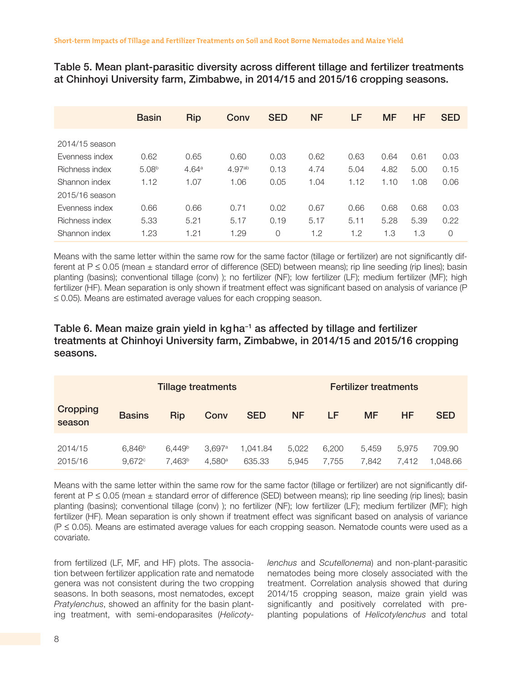Table 5. Mean plant-parasitic diversity across different tillage and fertilizer treatments at Chinhoyi University farm, Zimbabwe, in 2014/15 and 2015/16 cropping seasons.

|                | <b>Basin</b>      | <b>Rip</b>        | Conv               | <b>SED</b> | <b>NF</b> | LF   | <b>MF</b> | HF   | <b>SED</b> |
|----------------|-------------------|-------------------|--------------------|------------|-----------|------|-----------|------|------------|
| 2014/15 season |                   |                   |                    |            |           |      |           |      |            |
| Evenness index | 0.62              | 0.65              | 0.60               | 0.03       | 0.62      | 0.63 | 0.64      | 0.61 | 0.03       |
| Richness index | 5.08 <sup>b</sup> | 4.64 <sup>a</sup> | 4.97 <sup>ab</sup> | 0.13       | 4.74      | 5.04 | 4.82      | 5.00 | 0.15       |
| Shannon index  | 1.12              | 1.07              | 1.06               | 0.05       | 1.04      | 1.12 | 1.10      | 1.08 | 0.06       |
| 2015/16 season |                   |                   |                    |            |           |      |           |      |            |
| Evenness index | 0.66              | 0.66              | 0.71               | 0.02       | 0.67      | 0.66 | 0.68      | 0.68 | 0.03       |
| Richness index | 5.33              | 5.21              | 5.17               | 0.19       | 5.17      | 5.11 | 5.28      | 5.39 | 0.22       |
| Shannon index  | 1.23              | 1.21              | 1.29               | 0          | 1.2       | 1.2  | 1.3       | 1.3  | 0          |

Means with the same letter within the same row for the same factor (tillage or fertilizer) are not significantly different at  $P \le 0.05$  (mean  $\pm$  standard error of difference (SED) between means); rip line seeding (rip lines); basin planting (basins); conventional tillage (conv) ); no fertilizer (NF); low fertilizer (LF); medium fertilizer (MF); high fertilizer (HF). Mean separation is only shown if treatment effect was significant based on analysis of variance (P ≤ 0.05). Means are estimated average values for each cropping season.

#### Table 6. Mean maize grain yield in kgha−1 as affected by tillage and fertilizer treatments at Chinhoyi University farm, Zimbabwe, in 2014/15 and 2015/16 cropping seasons.

|                    | <b>Tillage treatments</b>       |                                          |                  |                    |                | <b>Fertilizer treatments</b> |                |                |                    |
|--------------------|---------------------------------|------------------------------------------|------------------|--------------------|----------------|------------------------------|----------------|----------------|--------------------|
| Cropping<br>season | <b>Basins</b>                   | <b>Rip</b>                               | Conv             | <b>SED</b>         | <b>NF</b>      | LF                           | <b>MF</b>      | HF             | <b>SED</b>         |
| 2014/15<br>2015/16 | 6.846 <sup>b</sup><br>$9.672$ ° | 6.449 <sup>b</sup><br>7.463 <sup>b</sup> | 3.697a<br>4.580a | 1.041.84<br>635.33 | 5.022<br>5.945 | 6.200<br>7.755               | 5.459<br>7.842 | 5.975<br>7.412 | 709.90<br>1.048.66 |

Means with the same letter within the same row for the same factor (tillage or fertilizer) are not significantly different at P  $\leq$  0.05 (mean  $\pm$  standard error of difference (SED) between means); rip line seeding (rip lines); basin planting (basins); conventional tillage (conv) ); no fertilizer (NF); low fertilizer (LF); medium fertilizer (MF); high fertilizer (HF). Mean separation is only shown if treatment effect was significant based on analysis of variance (P ≤ 0.05). Means are estimated average values for each cropping season. Nematode counts were used as a covariate.

from fertilized (LF, MF, and HF) plots. The association between fertilizer application rate and nematode genera was not consistent during the two cropping seasons. In both seasons, most nematodes, except *Pratylenchus*, showed an affinity for the basin planting treatment, with semi-endoparasites (*Helicoty-* *lenchus* and *Scutellonema*) and non-plant-parasitic nematodes being more closely associated with the treatment. Correlation analysis showed that during 2014/15 cropping season, maize grain yield was significantly and positively correlated with preplanting populations of *Helicotylenchus* and total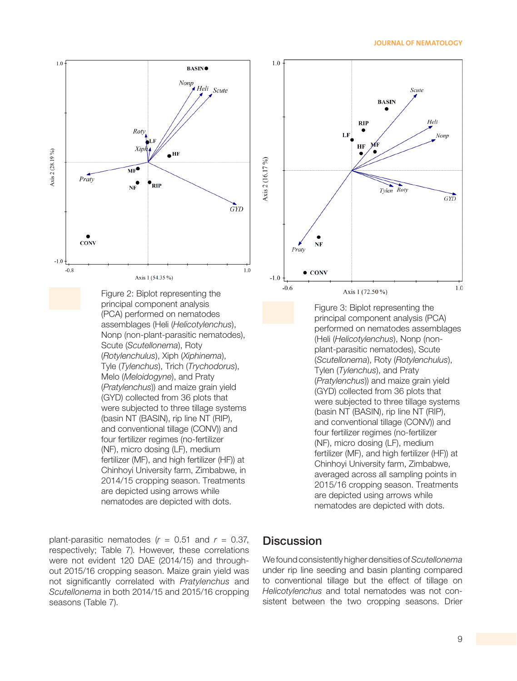#### **JOURNAL OF NEMATOLOGY**



Figure 2: Biplot representing the principal component analysis (PCA) performed on nematodes assemblages (Heli (*Helicotylenchus*), Nonp (non-plant-parasitic nematodes), Scute (*Scutellonema*), Roty (*Rotylenchulus*), Xiph (*Xiphinema*), Tyle (*Tylenchus*), Trich (*Trychodorus*), Melo (*Meloidogyne*), and Praty (*Pratylenchus*)) and maize grain yield (GYD) collected from 36 plots that were subjected to three tillage systems (basin NT (BASIN), rip line NT (RIP), and conventional tillage (CONV)) and four fertilizer regimes (no-fertilizer (NF), micro dosing (LF), medium fertilizer (MF), and high fertilizer (HF)) at Chinhoyi University farm, Zimbabwe, in 2014/15 cropping season. Treatments are depicted using arrows while nematodes are depicted with dots.



Figure 3: Biplot representing the principal component analysis (PCA) performed on nematodes assemblages (Heli (*Helicotylenchus*), Nonp (nonplant-parasitic nematodes), Scute (*Scutellonema*), Roty (*Rotylenchulus*), Tylen (*Tylenchus*), and Praty (*Pratylenchus*)) and maize grain yield (GYD) collected from 36 plots that were subjected to three tillage systems (basin NT (BASIN), rip line NT (RIP), and conventional tillage (CONV)) and four fertilizer regimes (no-fertilizer (NF), micro dosing (LF), medium fertilizer (MF), and high fertilizer (HF)) at Chinhoyi University farm, Zimbabwe, averaged across all sampling points in 2015/16 cropping season. Treatments are depicted using arrows while nematodes are depicted with dots.

plant-parasitic nematodes  $(r = 0.51$  and  $r = 0.37$ , respectively; Table 7). However, these correlations were not evident 120 DAE (2014/15) and throughout 2015/16 cropping season. Maize grain yield was not significantly correlated with *Pratylenchus* and *Scutellonema* in both 2014/15 and 2015/16 cropping seasons (Table 7).

#### **Discussion**

We found consistently higher densities of *Scutellonema* under rip line seeding and basin planting compared to conventional tillage but the effect of tillage on *Helicotylenchus* and total nematodes was not consistent between the two cropping seasons. Drier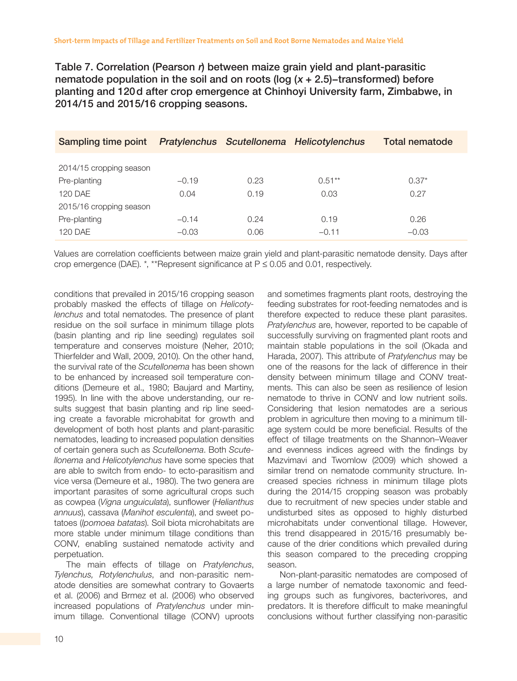Table 7. Correlation (Pearson  $r$ ) between maize grain yield and plant-parasitic nematode population in the soil and on roots (log (x + 2.5)–transformed) before planting and 120d after crop emergence at Chinhoyi University farm, Zimbabwe, in 2014/15 and 2015/16 cropping seasons.

| Sampling time point  Pratylenchus  Scutellonema  Helicotylenchus |                    |              |                 | <b>Total nematode</b> |
|------------------------------------------------------------------|--------------------|--------------|-----------------|-----------------------|
| 2014/15 cropping season<br>Pre-planting                          | $-0.19$            | 0.23         | $0.51**$        | $0.37*$               |
| 120 DAE<br>2015/16 cropping season                               | 0.04               | 0.19         | 0.03            | 0.27                  |
| Pre-planting<br>120 DAE                                          | $-0.14$<br>$-0.03$ | 0.24<br>0.06 | 0.19<br>$-0.11$ | 0.26<br>$-0.03$       |

Values are correlation coefficients between maize grain yield and plant-parasitic nematode density. Days after crop emergence (DAE). \*, \*\*Represent significance at  $P \le 0.05$  and 0.01, respectively.

conditions that prevailed in 2015/16 cropping season probably masked the effects of tillage on *Helicotylenchus* and total nematodes. The presence of plant residue on the soil surface in minimum tillage plots (basin planting and rip line seeding) regulates soil temperature and conserves moisture (Neher, 2010; Thierfelder and Wall, 2009, 2010). On the other hand, the survival rate of the *Scutellonema* has been shown to be enhanced by increased soil temperature conditions (Demeure et al., 1980; Baujard and Martiny, 1995). In line with the above understanding, our results suggest that basin planting and rip line seeding create a favorable microhabitat for growth and development of both host plants and plant-parasitic nematodes, leading to increased population densities of certain genera such as *Scutellonema*. Both *Scutellonema* and *Helicotylenchus* have some species that are able to switch from endo- to ecto-parasitism and vice versa (Demeure et al., 1980). The two genera are important parasites of some agricultural crops such as cowpea (*Vigna unguiculata*), sunflower (*Helianthus annuus*), cassava (*Manihot esculenta*), and sweet potatoes (*Ipomoea batatas*). Soil biota microhabitats are more stable under minimum tillage conditions than CONV, enabling sustained nematode activity and perpetuation.

The main effects of tillage on *Pratylenchus*, *Tylenchus, Rotylenchulus*, and non-parasitic nematode densities are somewhat contrary to Govaerts et al. (2006) and Brmez et al. (2006) who observed increased populations of *Pratylenchus* under minimum tillage. Conventional tillage (CONV) uproots and sometimes fragments plant roots, destroying the feeding substrates for root-feeding nematodes and is therefore expected to reduce these plant parasites. *Pratylenchus* are, however, reported to be capable of successfully surviving on fragmented plant roots and maintain stable populations in the soil (Okada and Harada, 2007). This attribute of *Pratylenchus* may be one of the reasons for the lack of difference in their density between minimum tillage and CONV treatments. This can also be seen as resilience of lesion nematode to thrive in CONV and low nutrient soils. Considering that lesion nematodes are a serious problem in agriculture then moving to a minimum tillage system could be more beneficial. Results of the effect of tillage treatments on the Shannon–Weaver and evenness indices agreed with the findings by Mazvimavi and Twomlow (2009) which showed a similar trend on nematode community structure. Increased species richness in minimum tillage plots during the 2014/15 cropping season was probably due to recruitment of new species under stable and undisturbed sites as opposed to highly disturbed microhabitats under conventional tillage. However, this trend disappeared in 2015/16 presumably because of the drier conditions which prevailed during this season compared to the preceding cropping season.

Non-plant-parasitic nematodes are composed of a large number of nematode taxonomic and feeding groups such as fungivores, bacterivores, and predators. It is therefore difficult to make meaningful conclusions without further classifying non-parasitic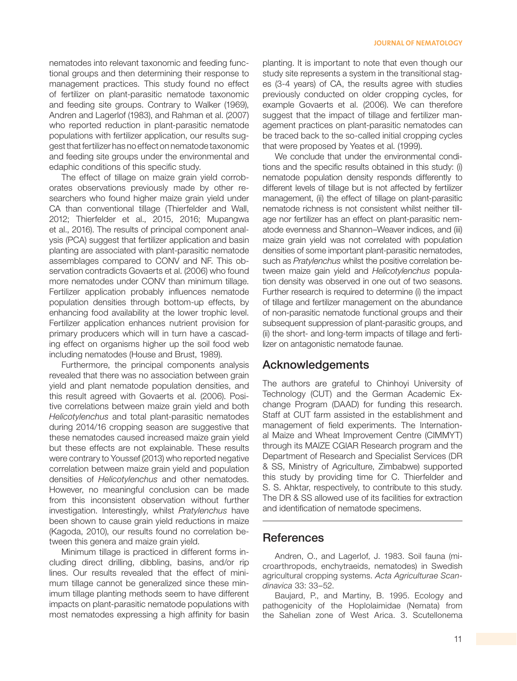nematodes into relevant taxonomic and feeding functional groups and then determining their response to management practices. This study found no effect of fertilizer on plant-parasitic nematode taxonomic and feeding site groups. Contrary to Walker (1969), Andren and Lagerlof (1983), and Rahman et al. (2007) who reported reduction in plant-parasitic nematode populations with fertilizer application, our results suggest that fertilizer has no effect on nematode taxonomic and feeding site groups under the environmental and edaphic conditions of this specific study.

The effect of tillage on maize grain yield corroborates observations previously made by other researchers who found higher maize grain yield under CA than conventional tillage (Thierfelder and Wall, 2012; Thierfelder et al., 2015, 2016; Mupangwa et al., 2016). The results of principal component analysis (PCA) suggest that fertilizer application and basin planting are associated with plant-parasitic nematode assemblages compared to CONV and NF. This observation contradicts Govaerts et al. (2006) who found more nematodes under CONV than minimum tillage. Fertilizer application probably influences nematode population densities through bottom-up effects, by enhancing food availability at the lower trophic level. Fertilizer application enhances nutrient provision for primary producers which will in turn have a cascading effect on organisms higher up the soil food web including nematodes (House and Brust, 1989).

Furthermore, the principal components analysis revealed that there was no association between grain yield and plant nematode population densities, and this result agreed with Govaerts et al. (2006). Positive correlations between maize grain yield and both *Helicotylenchus* and total plant-parasitic nematodes during 2014/16 cropping season are suggestive that these nematodes caused increased maize grain yield but these effects are not explainable. These results were contrary to Youssef (2013) who reported negative correlation between maize grain yield and population densities of *Helicotylenchus* and other nematodes. However, no meaningful conclusion can be made from this inconsistent observation without further investigation. Interestingly, whilst *Pratylenchus* have been shown to cause grain yield reductions in maize (Kagoda, 2010), our results found no correlation between this genera and maize grain yield.

Minimum tillage is practiced in different forms including direct drilling, dibbling, basins, and/or rip lines. Our results revealed that the effect of minimum tillage cannot be generalized since these minimum tillage planting methods seem to have different impacts on plant-parasitic nematode populations with most nematodes expressing a high affinity for basin planting. It is important to note that even though our study site represents a system in the transitional stages (3-4 years) of CA, the results agree with studies previously conducted on older cropping cycles, for example Govaerts et al. (2006). We can therefore suggest that the impact of tillage and fertilizer management practices on plant-parasitic nematodes can be traced back to the so-called initial cropping cycles that were proposed by Yeates et al. (1999).

We conclude that under the environmental conditions and the specific results obtained in this study: (i) nematode population density responds differently to different levels of tillage but is not affected by fertilizer management, (ii) the effect of tillage on plant-parasitic nematode richness is not consistent whilst neither tillage nor fertilizer has an effect on plant-parasitic nematode evenness and Shannon–Weaver indices, and (iii) maize grain yield was not correlated with population densities of some important plant-parasitic nematodes, such as *Pratylenchus* whilst the positive correlation between maize gain yield and *Helicotylenchus* population density was observed in one out of two seasons. Further research is required to determine (i) the impact of tillage and fertilizer management on the abundance of non-parasitic nematode functional groups and their subsequent suppression of plant-parasitic groups, and (ii) the short- and long-term impacts of tillage and fertilizer on antagonistic nematode faunae.

#### Acknowledgements

The authors are grateful to Chinhoyi University of Technology (CUT) and the German Academic Exchange Program (DAAD) for funding this research. Staff at CUT farm assisted in the establishment and management of field experiments. The International Maize and Wheat Improvement Centre (CIMMYT) through its MAIZE CGIAR Research program and the Department of Research and Specialist Services (DR & SS, Ministry of Agriculture, Zimbabwe) supported this study by providing time for C. Thierfelder and S. S. Ahktar, respectively, to contribute to this study. The DR & SS allowed use of its facilities for extraction and identification of nematode specimens.

#### References

Andren, O., and Lagerlof, J. 1983. Soil fauna (microarthropods, enchytraeids, nematodes) in Swedish agricultural cropping systems. *Acta Agriculturae Scandinavica* 33: 33–52.

Baujard, P., and Martiny, B. 1995. Ecology and pathogenicity of the Hoplolaimidae (Nemata) from the Sahelian zone of West Arica. 3. Scutellonema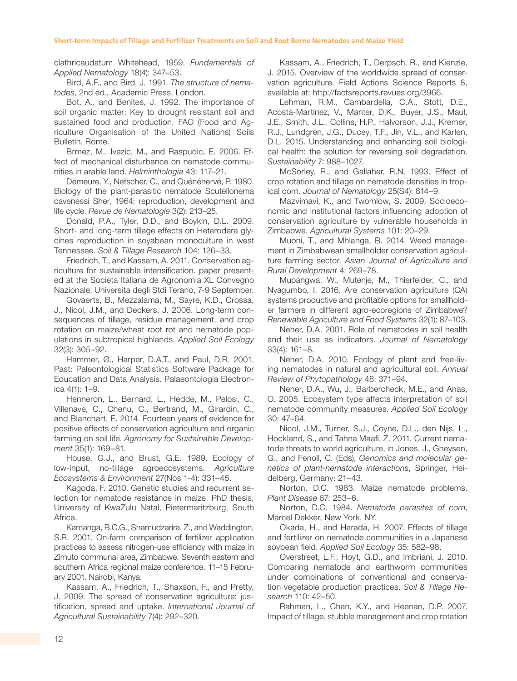clathricaudatum Whitehead, 1959. *Fundamentals of Applied Nematology* 18(4): 347–53.

Bird, A.F., and Bird, J. 1991. *The structure of nematodes*, 2nd ed., Academic Press, London.

Bot, A., and Benites, J. 1992. The importance of soil organic matter: Key to drought resistant soil and sustained food and production. FAO (Food and Agriculture Organisation of the United Nations) Soils Bulletin, Rome.

Brmez, M., Ivezic, M., and Raspudic, E. 2006. Effect of mechanical disturbance on nematode communities in arable land. *Helminthologia* 43: 117–21.

Demeure, Y., Netscher, C., and Quénéhervé, P. 1980. Biology of the plant-parasitic nematode Scutellonema cavenessi Sher, 1964: reproduction, development and life cycle. *Revue de Nematologie* 3(2): 213–25.

Donald, P.A., Tyler, D.D., and Boykin, D.L. 2009. Short- and long-term tillage effects on Heterodera glycines reproduction in soyabean monoculture in west Tennessee. *Soil & Tillage Research* 104: 126–33.

Friedrich, T., and Kassam, A. 2011. Conservation agriculture for sustainable intensification. paper presented at the Societa Italiana de Agronomia XL Convegno Nazionale, Universita degli Stdi Terano, 7-9 September.

Govaerts, B., Mezzalama, M., Sayre, K.D., Crossa, J., Nicol, J.M., and Deckers, J. 2006. Long-term consequences of tillage, residue management, and crop rotation on maize/wheat root rot and nematode populations in subtropical highlands. *Applied Soil Ecology* 32(3): 305–92.

Hammer, Ø., Harper, D.A.T., and Paul, D.R. 2001. Past: Paleontological Statistics Software Package for Education and Data Analysis. Palaeontologia Electronica 4(1): 1–9.

Henneron, L., Bernard, L., Hedde, M., Pelosi, C., Villenave, C., Chenu, C., Bertrand, M., Girardin, C., and Blanchart, E. 2014. Fourteen years of evidence for positive effects of conservation agriculture and organic farming on soil life. *Agronomy for Sustainable Development* 35(1): 169–81.

House, G.J., and Brust, G.E. 1989. Ecology of low-input, no-tillage agroecosystems. *Agriculture Ecosystems & Environment* 27(Nos 1-4): 331–45.

Kagoda, F. 2010. Genetic studies and recurrent selection for nematode resistance in maize. PhD thesis, University of KwaZulu Natal, Pietermaritzburg, South Africa.

Kamanga, B.C.G., Shamudzarira, Z., and Waddington, S.R. 2001. On-farm comparison of fertilizer application practices to assess nitrogen-use efficiency with maize in Zimuto communal area, Zimbabwe. Seventh eastern and southern Africa regional maize conference. 11–15 February 2001. Nairobi, Kanya.

Kassam, A., Friedrich, T., Shaxson, F., and Pretty, J. 2009. The spread of conservation agriculture: justification, spread and uptake. *International Journal of Agricultural Sustainability* 7(4): 292–320.

Kassam, A., Friedrich, T., Derpsch, R., and Kienzle, J. 2015. Overview of the worldwide spread of conservation agriculture. Field Actions Science Reports 8, available at: http://factsreports.revues.org/3966.

Lehman, R.M., Cambardella, C.A., Stott, D.E., Acosta-Martinez, V., Manter, D.K., Buyer, J.S., Maul, J.E., Smith, J.L., Collins, H.P., Halvorson, J.J., Kremer, R.J., Lundgren, J.G., Ducey, T.F., Jin, V.L., and Karlen, D.L. 2015. Understanding and enhancing soil biological health: the solution for reversing soil degradation. *Sustainability* 7: 988–1027.

McSorley, R., and Gallaher, R.N. 1993. Effect of crop rotation and tillage on nematode densities in tropical corn. *Journal of Nematology* 25(S4): 814–9.

Mazvimavi, K., and Twomlow, S. 2009. Socioeconomic and institutional factors influencing adoption of conservation agriculture by vulnerable households in Zimbabwe. *Agricultural Systems* 101: 20–29.

Muoni, T., and Mhlanga, B. 2014. Weed management in Zimbabwean smallholder conservation agriculture farming sector. *Asian Journal of Agriculture and Rural Development* 4: 269–78.

Mupangwa, W., Mutenje, M., Thierfelder, C., and Nyagumbo, I. 2016. Are conservation agriculture (CA) systems productive and profitable options for smallholder farmers in different agro-ecoregions of Zimbabwe? *Renewable Agriculture and Food Systems* 32(1): 87–103.

Neher, D.A. 2001. Role of nematodes in soil health and their use as indicators. *Journal of Nematology* 33(4): 161–8.

Neher, D.A. 2010. Ecology of plant and free-living nematodes in natural and agricultural soil. *Annual Review of Phytopathology* 48: 371–94.

Neher, D.A., Wu, J., Barbercheck, M.E., and Anas, O. 2005. Ecosystem type affects interpretation of soil nematode community measures. *Applied Soil Ecology* 30: 47–64.

Nicol, J.M., Turner, S.J., Coyne, D.L., den Nijs, L., Hockland, S., and Tahna Maafi, Z. 2011. Current nematode threats to world agriculture, in Jones, J., Gheysen, G., and Fenoll, C. (Eds), *Genomics and molecular genetics of plant-nematode interactions*, Springer, Heidelberg, Germany: 21–43.

Norton, D.C. 1983. Maize nematode problems. *Plant Disease* 67: 253–6.

Norton, D.C. 1984. *Nematode parasites of corn*, Marcel Dekker, New York, NY.

Okada, H., and Harada, H. 2007. Effects of tillage and fertilizer on nematode communities in a Japanese soybean field. *Applied Soil Ecology* 35: 582–98.

Overstreet, L.F., Hoyt, G.D., and Imbriani, J. 2010. Comparing nematode and earthworm communities under combinations of conventional and conservation vegetable production practices. *Soil & Tillage Research* 110: 42–50.

Rahman, L., Chan, K.Y., and Heenan, D.P. 2007. Impact of tillage, stubble management and crop rotation